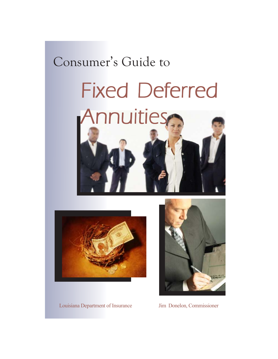#### Consumer's Guide to

## Fixed Deferred Annuities



Louisiana Department of Insurance Jim Donelon, Commissioner

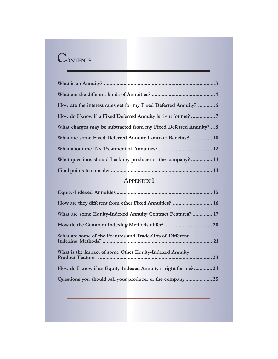#### **CONTENTS**

| What charges may be subtracted from my Fixed Deferred Annuity?  8 |
|-------------------------------------------------------------------|
| What are some Fixed Deferred Annuity Contract Benefits? 10        |
|                                                                   |
| What questions should I ask my producer or the company?  13       |
|                                                                   |

#### **APPENDIX I**

| What are some Equity-Indexed Annuity Contract Features?  17   |  |
|---------------------------------------------------------------|--|
|                                                               |  |
| What are some of the Features and Trade-Offs of Different     |  |
| What is the impact of some Other Equity-Indexed Annuity       |  |
| How do I know if an Equity-Indexed Annuity is right for me?24 |  |
| Questions you should ask your producer or the company25       |  |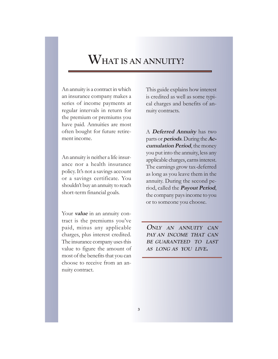#### **WHAT IS AN ANNUITY?**

An annuity is a contract in which an insurance company makes a series of income payments at regular intervals in return for the premium or premiums you have paid. Annuities are most often bought for future retirement income.

An annuity is neither a life insurance nor a health insurance policy. It's not a savings account or a savings certificate. You shouldn't buy an annuity to reach short-term financial goals.

Your **value** in an annuity contract is the premiums you've paid, minus any applicable charges, plus interest credited. The insurance company uses this value to figure the amount of most of the benefits that you can choose to receive from an annuity contract.

This guide explains how interest is credited as well as some typical charges and benefits of annuity contracts.

A **Deferred Annuity** has two parts or **periods**. During the **Accumulation Period**, the money you put into the annuity, less any applicable charges, earns interest. The earnings grow tax-deferred as long as you leave them in the annuity. During the second period, called the **Payout Period**, the company pays income to you or to someone you choose.

**ONLY AN ANNUITY CAN PAY AN INCOME THAT CAN BE GUARANTEED TO LAST AS LONG AS YOU LIVE.**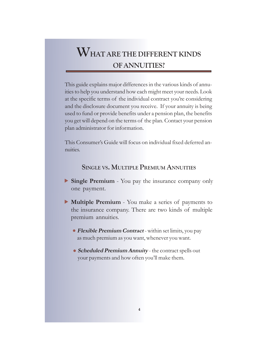#### **WHAT ARE THE DIFFERENT KINDS OF ANNUITIES?**

This guide explains major differences in the various kinds of annuities to help you understand how each might meet your needs. Look at the specific terms of the individual contract you're considering and the disclosure document you receive. If your annuity is being used to fund or provide benefits under a pension plan, the benefits you get will depend on the terms of the plan. Contact your pension plan administrator for information.

This Consumer's Guide will focus on individual fixed deferred annuities.

#### **SINGLE VS. MULTIPLE PREMIUM ANNUITIES**

- Single Premium You pay the insurance company only one payment.
- Multiple Premium You make a series of payments to the insurance company. There are two kinds of multiple premium annuities.
	- **Flexible Premium Contract** within set limits, you pay as much premium as you want, whenever you want.
	- **Scheduled Premium Annuity** the contract spells out your payments and how often you'll make them.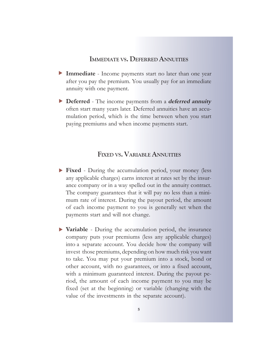#### **IMMEDIATE VS. DEFERRED ANNUITIES**

- **Immediate** Income payments start no later than one year X after you pay the premium. You usually pay for an immediate annuity with one payment.
- **Deferred** The income payments from a **deferred annuity** X often start many years later. Deferred annuities have an accumulation period, which is the time between when you start paying premiums and when income payments start.

#### **FIXED VS. VARIABLE ANNUITIES**

- **Fixed** During the accumulation period, your money (less X any applicable charges) earns interest at rates set by the insurance company or in a way spelled out in the annuity contract. The company guarantees that it will pay no less than a minimum rate of interest. During the payout period, the amount of each income payment to you is generally set when the payments start and will not change.
- ▶ Variable During the accumulation period, the insurance company puts your premiums (less any applicable charges) into a separate account. You decide how the company will invest those premiums, depending on how much risk you want to take. You may put your premium into a stock, bond or other account, with no guarantees, or into a fixed account, with a minimum guaranteed interest. During the payout period, the amount of each income payment to you may be fixed (set at the beginning) or variable (changing with the value of the investments in the separate account).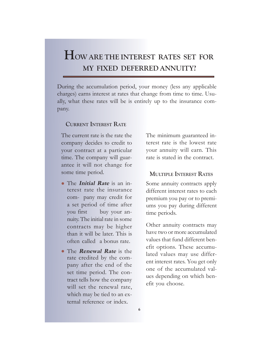#### **HOW ARE THE INTEREST RATES SET FOR MY FIXED DEFERRED ANNUITY?**

During the accumulation period, your money (less any applicable charges) earns interest at rates that change from time to time. Usually, what these rates will be is entirely up to the insurance company.

#### **CURRENT INTEREST RATE**

The current rate is the rate the company decides to credit to your contract at a particular time. The company will guarantee it will not change for some time period.

- The *Initial Rate* is an interest rate the insurance com- pany may credit for a set period of time after you first buy your annuity. The initial rate in some contracts may be higher than it will be later. This is often called a bonus rate.
- **The Renewal Rate** is the rate credited by the company after the end of the set time period. The contract tells how the company will set the renewal rate, which may be tied to an external reference or index.

The minimum guaranteed interest rate is the lowest rate your annuity will earn. This rate is stated in the contract.

#### **MULTIPLE INTEREST RATES**

Some annuity contracts apply different interest rates to each premium you pay or to premiums you pay during different time periods.

Other annuity contracts may have two or more accumulated values that fund different benefit options. These accumulated values may use different interest rates. You get only one of the accumulated values depending on which benefit you choose.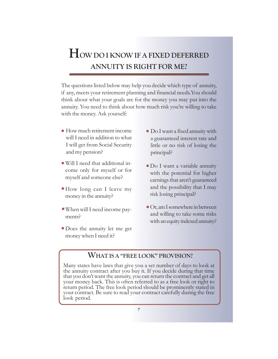#### **HOW DO I KNOW IF A FIXED DEFERRED ANNUITY IS RIGHT FOR ME?**

The questions listed below may help you decide which type of annuity, if any, meets your retirement planning and financial needs.You should think about what your goals are for the money you may put into the annuity. You need to think about how much risk you're willing to take with the money. Ask yourself:

- How much retirement income z will I need in addition to what I will get from Social Security and my pension?
- Will I need that additional in-z come only for myself or for myself and someone else?
- How long can I leave my z money in the annuity?
- When will I need income pay-z ments?
- · Does the annuity let me get money when I need it?
- Do I want a fixed annuity with z a guaranteed interest rate and little or no risk of losing the principal?
- Do I want a variable annuity z with the potential for higher earnings that aren't guaranteed and the possibility that I may risk losing principal?
- Or, am I somewhere in between zand willing to take some risks with an equity indexed annuity?

#### **WHAT IS A "FREE LOOK" PROVISION?**

Many states have laws that give you a set number of days to look at the annuity contract after you buy it. If you decide during that time that you don't want the annuity, you can return the contract and get all your money back. This is often referred to as a free look or right to return period. The free look period should be prominently stated in your contract. Be sure to read your contract carefully during the free look period.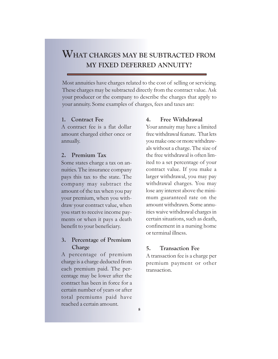#### **WHAT CHARGES MAY BE SUBTRACTED FROM MY FIXED DEFERRED ANNUITY?**

Most annuities have charges related to the cost of selling or servicing. These charges may be subtracted directly from the contract value. Ask your producer or the company to describe the charges that apply to your annuity. Some examples of charges, fees and taxes are:

#### **1. Contract Fee**

A contract fee is a flat dollar amount charged either once or annually.

#### **2. Premium Tax**

Some states charge a tax on annuities. The insurance company pays this tax to the state. The company may subtract the amount of the tax when you pay your premium, when you withdraw your contract value, when you start to receive income payments or when it pays a death benefit to your beneficiary.

#### **3. Percentage of Premium Charge**

A percentage of premium charge is a charge deducted from each premium paid. The percentage may be lower after the contract has been in force for a certain number of years or after total premiums paid have reached a certain amount.

#### **4. Free Withdrawal**

Your annuity may have a limited free withdrawal feature. That lets you make one or more withdrawals without a charge. The size of the free withdrawal is often limited to a set percentage of your contract value. If you make a larger withdrawal, you may pay withdrawal charges. You may lose any interest above the minimum guaranteed rate on the amount withdrawn. Some annuities waive withdrawal charges in certain situations, such as death, confinement in a nursing home or terminal illness.

#### **5. Transaction Fee**

A transaction fee is a charge per premium payment or other transaction.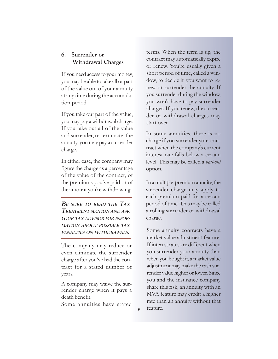#### **6. Surrender or Withdrawal Charges**

If you need access to your money, you may be able to take all or part of the value out of your annuity at any time during the accumulation period.

If you take out part of the value, you may pay a withdrawal charge. If you take out all of the value and surrender, or terminate, the annuity, you may pay a surrender charge.

In either case, the company may figure the charge as a percentage of the value of the contract, of the premiums you've paid or of the amount you're withdrawing.

**B<sup>E</sup> SURE TO READ THE TAX TREATMENT SECTION AND ASK YOUR TAX ADVISOR FOR INFOR-MATION ABOUT POSSIBLE TAX PENALTIES ON WITHDRAWALS.**

The company may reduce or even eliminate the surrender charge after you've had the contract for a stated number of years.

A company may waive the surrender charge when it pays a death benefit.

Some annuities have stated

**9**

terms. When the term is up, the contract may automatically expire or renew. You're usually given a short period of time, called a window, to decide if you want to renew or surrender the annuity. If you surrender during the window, you won't have to pay surrender charges. If you renew, the surrender or withdrawal charges may start over.

In some annuities, there is no charge if you surrender your contract when the company's current interest rate falls below a certain level. This may be called a *bail-out* option.

In a multiple-premium annuity, the surrender charge may apply to each premium paid for a certain period of time. This may be called a rolling surrender or withdrawal charge.

Some annuity contracts have a market value adjustment feature. If interest rates are different when you surrender your annuity than when you bought it, a market value adjustment may make the cash surrender value higher or lower. Since you and the insurance company share this risk, an annuity with an MVA feature may credit a higher rate than an annuity without that feature.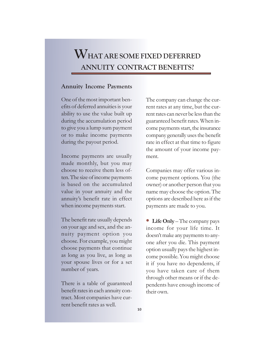#### **WHAT ARE SOME FIXED DEFERRED ANNUITY CONTRACT BENEFITS?**

#### **Annuity Income Payments**

One of the most important benefits of deferred annuities is your ability to use the value built up during the accumulation period to give you a lump sum payment or to make income payments during the payout period.

Income payments are usually made monthly, but you may choose to receive them less often. The size of income payments is based on the accumulated value in your annuity and the annuity's benefit rate in effect when income payments start.

The benefit rate usually depends on your age and sex, and the annuity payment option you choose. For example, you might choose payments that continue as long as you live, as long as your spouse lives or for a set number of years.

There is a table of guaranteed benefit rates in each annuity contract. Most companies have current benefit rates as well.

The company can change the current rates at any time, but the current rates can never be less than the guaranteed benefit rates. When income payments start, the insurance company generally uses the benefit rate in effect at that time to figure the amount of your income payment.

Companies may offer various income payment options. You (the owner) or another person that you name may choose the option. The options are described here as if the payments are made to you.

**Life Only** – The company pays income for your life time. It doesn't make any payments to anyone after you die. This payment option usually pays the highest income possible. You might choose it if you have no dependents, if you have taken care of them through other means or if the dependents have enough income of their own. **o**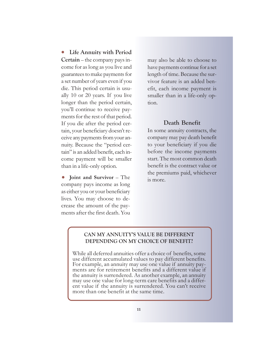**Life Annuity with Period Certain** – the company pays income for as long as you live and guarantees to make payments for a set number of years even if you die. This period certain is usually 10 or 20 years. If you live longer than the period certain, you'll continue to receive payments for the rest of that period. If you die after the period certain, your beneficiary doesn't receive any payments from your annuity. Because the "period certain" is an added benefit, each income payment will be smaller than in a life-only option. z

**Joint and Survivor – The** company pays income as long as either you or your beneficiary lives. You may choose to decrease the amount of the payments after the first death. You  $\bullet$ 

may also be able to choose to have payments continue for a set length of time. Because the survivor feature is an added benefit, each income payment is smaller than in a life-only option.

#### **Death Benefit**

In some annuity contracts, the company may pay death benefit to your beneficiary if you die before the income payments start. The most common death benefit is the contract value or the premiums paid, whichever is more.

#### **CAN MY ANNUITY'S VALUE BE DIFFERENT DEPENDING ON MY CHOICE OF BENEFIT?**

While all deferred annuities offer a choice of benefits, some use different accumulated values to pay different benefits. For example, an annuity may use one value if annuity payments are for retirement benefits and a different value if the annuity is surrendered. As another example, an annuity may use one value for long-term care benefits and a different value if the annuity is surrendered. You can't receive more than one benefit at the same time.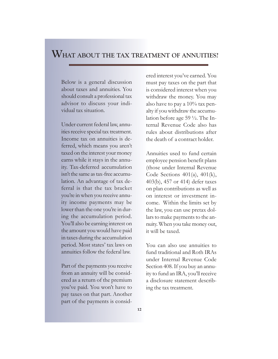#### **WHAT ABOUT THE TAX TREATMENT OF ANNUITIES?**

Below is a general discussion about taxes and annuities. You should consult a professional tax advisor to discuss your individual tax situation.

Under current federal law, annuities receive special tax treatment. Income tax on annuities is deferred, which means you aren't taxed on the interest your money earns while it stays in the annuity. Tax-deferred accumulation isn't the same as tax-free accumulation. An advantage of tax deferral is that the tax bracket you're in when you receive annuity income payments may be lower than the one you're in during the accumulation period. You'll also be earning interest on the amount you would have paid in taxes during the accumulation period. Most states' tax laws on annuities follow the federal law.

Part of the payments you receive from an annuity will be considered as a return of the premium you've paid. You won't have to pay taxes on that part. Another part of the payments is considered interest you've earned. You must pay taxes on the part that is considered interest when you withdraw the money. You may also have to pay a 10% tax penalty if you withdraw the accumulation before age 59 ½. The Internal Revenue Code also has rules about distributions after the death of a contract holder.

Annuities used to fund certain employee pension benefit plans (those under Internal Revenue Code Sections 401(a), 401(k), 403(b), 457 or 414) defer taxes on plan contributions as well as on interest or investment income. Within the limits set by the law, you can use pretax dollars to make payments to the annuity. When you take money out, it will be taxed.

You can also use annuities to fund traditional and Roth IRAs under Internal Revenue Code Section 408. If you buy an annuity to fund an IRA, you'll receive a disclosure statement describing the tax treatment.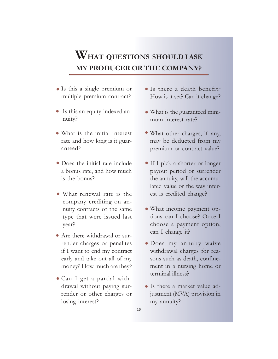#### **WHAT QUESTIONS SHOULD I ASK MY PRODUCER OR THE COMPANY?**

- Is this a single premium or z multiple premium contract?
- Is this an equity-indexed annuity?
- What is the initial interest z rate and how long is it guaranteed?
- Does the initial rate include z a bonus rate, and how much is the bonus?
- What renewal rate is the z company crediting on annuity contracts of the same type that were issued last year?
- Are there withdrawal or surrender charges or penalites if I want to end my contract early and take out all of my money? How much are they?
- Can I get a partial with-z drawal without paying surrender or other charges or losing interest?
- Is there a death benefit? z How is it set? Can it change?
- What is the guaranteed mini-z mum interest rate?
- What other charges, if any, z may be deducted from my premium or contract value?
- If I pick a shorter or longer z payout period or surrender the annuity, will the accumulated value or the way interest is credited change?
- What income payment op-z tions can I choose? Once I choose a payment option, can I change it?
- · Does my annuity waive withdrawal charges for reasons such as death, confinement in a nursing home or terminal illness?
- Is there a market value ad-zjustment (MVA) provision in my annuity?
- **13**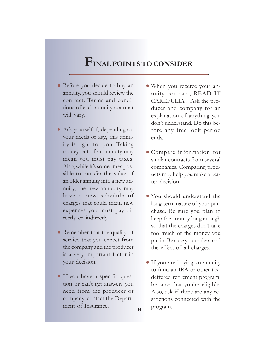#### **FINAL POINTS TO CONSIDER**

- Before you decide to buy an z annuity, you should review the contract. Terms and conditions of each annuity contract will vary.
- Ask yourself if, depending on your needs or age, this annuity is right for you. Taking money out of an annuity may mean you must pay taxes. Also, while it's sometimes possible to transfer the value of an older annuity into a new annuity, the new annuuity may have a new schedule of charges that could mean new expenses you must pay directly or indirectly.
- Remember that the quality of service that you expect from the company and the producer is a very important factor in your decision.
- If you have a specific ques-z tion or can't get answers you need from the producer or company, contact the Department of Insurance.

**14**

- When you receive your an-z nuity contract, READ IT CAREFULLY! Ask the producer and company for an explanation of anything you don't understand. Do this before any free look period ends.
- Compare information for z similar contracts from several companies. Comparing products may help you make a better decision.
- You should understand the z long-term nature of your purchase. Be sure you plan to keep the annuity long enough so that the charges don't take too much of the money you put in. Be sure you understand the effect of all charges.
- If you are buying an annuity to fund an IRA or other taxdeffered retirement program, be sure that you're eligible. Also, ask if there are any restrictions connected with the program.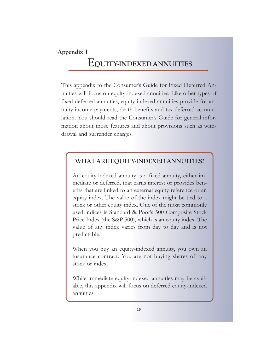#### **Appendix I**

#### **EQUITY-INDEXED ANNUITIES**

This appendix to the Consumer's Guide for Fixed Deferred Annuities will focus on equity-indexed annuities. Like other types of fixed deferred annuities, equity-indexed annuities provide for annuity income payments, death benefits and tax-deferred accumulation. You should read the Consumer's Guide for general information about those features and about provisions such as withdrawal and surrender charges.

#### **WHAT ARE EQUITY-INDEXED ANNUITIES?**

An equity-indexed annuity is a fixed annuity, either immediate or deferred, that earns interest or provides benefits that are linked to an external equity reference or an equity index. The value of the index might be tied to a stock or other equity index. One of the most commonly used indices is Standard & Poor's 500 Composite Stock Price Index (the S&P 500), which is an equity index. The value of any index varies from day to day and is not predictable.

When you buy an equity-indexed annuity, you own an insurance contract. You are not buying shares of any stock or index.

While immediate equity-indexed annuities may be available, this appendix will focus on deferred equity-indexed annuities.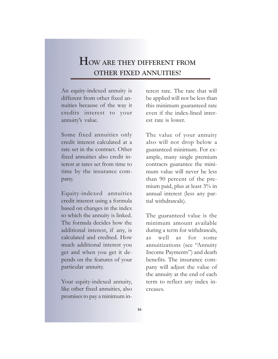#### **HOW ARE THEY DIFFERENT FROM OTHER FIXED ANNUITIES?**

An equity-indexed annuity is different from other fixed annuities because of the way it credits interest to your annuity's value.

Some fixed annuities only credit interest calculated at a rate set in the contract. Other fixed annuities also credit interest at rates set from time to time by the insurance company.

Equity-indexed annuities credit interest using a formula based on changes in the index to which the annuity is linked. The formula decides how the additional interest, if any, is calculated and credited. How much additional interest you get and when you get it depends on the features of your particular annuity.

Your equity-indexed annuity, like other fixed annuities, also promises to pay a minimum interest rate. The rate that will be applied will not be less than this minimum guaranteed rate even if the index-lined interest rate is lower.

The value of your annuity also will not drop below a guaranteed minimum. For example, many single premium contracts guarantee the minimum value will never be less than 90 percent of the premium paid, plus at least 3% in annual interest (less any partial withdrawals).

The guaranteed value is the minimum amount available during a term for withdrawals, as well as for some annuitizations (see "Annuity Income Payments") and death benefits. The insurance company will adjust the value of the annuity at the end of each term to reflect any index increases.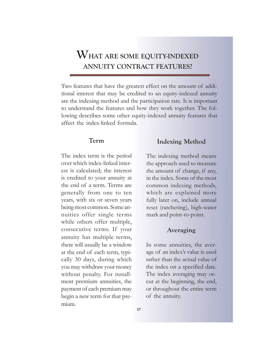#### **WHAT ARE SOME EQUITY-INDEXED ANNUITY CONTRACT FEATURES?**

Two features that have the greatest effect on the amount of additional interest that may be credited to an equity-indexed annuity are the indexing method and the participation rate. It is important to understand the features and how they work together. The following describes some other equity-indexed annuity features that affect the index-linked formula.

#### **Term**

The index term is the period over which index-linked interest is calculated; the interest is credited to your annuity at the end of a term. Terms are generally from one to ten years, with six or seven years being most common. Some annuities offer single terms while others offer multiple, consecutive terms. If your annuity has multiple terms, there will usually be a window at the end of each term, typically 30 days, during which you may withdraw your money without penalty. For installment premium annuities, the payment of each premium may begin a new term for that premium.

#### **Indexing Method**

The indexing method means the approach used to measure the amount of change, if any, in the index. Some of the most common indexing methods, which are explained more fully later on, include annual reset (ratcheting), high-water mark and point-to-point.

#### **Averaging**

In some annuities, the average of an index's value is used rather than the actual value of the index on a specified date. The index averaging may occur at the beginning, the end, or throughout the entire term of the annuity.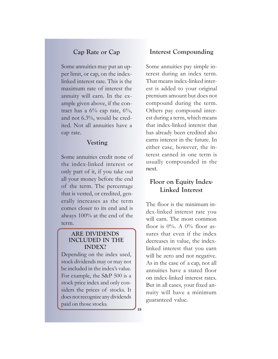#### **Cap Rate or Cap**

Some annuities may put an upper limit, or cap, on the indexlinked interest rate. This is the maximum rate of interest the annuity will earn. In the example given above, if the contract has a  $6\%$  cap rate,  $6\%$ , and not 6.3%, would be credited. Not all annuities have a cap rate.

#### **Vesting**

Some annuities credit none of the index-linked interest or only part of it, if you take out all your money before the end of the term. The percentage that is vested, or credited, generally increases as the term comes closer to its end and is always 100% at the end of the term.

#### **ARE DIVIDENDS INCLUDED IN THE INDEX?**

Depending on the index used, stock dividends may or may not be included in the index's value. For example, the S&P 500 is a stock price index and only considers the prices of stocks. It does not recognize any dividends paid on those stocks.

#### **Interest Compounding**

Some annuities pay simple interest during an index term. That means index-linked interest is added to your original premium amount but does not compound during the term. Others pay compound interest during a term, which means that index-linked interest that has already been credited also earns interest in the future. In either case, however, the interest earned in one term is usually compounded in the next.

#### **Floor on Equity Index-Linked Interest**

The floor is the minimum index-linked interest rate you will earn. The most common floor is  $0\%$ . A  $0\%$  floor assures that even if the index decreases in value, the indexlinked interest that you earn will be zero and not negative. As in the case of a cap, not all annuities have a stated floor on index-linked interest rates. But in all cases, your fixed annuity will have a minimum guaranteed value.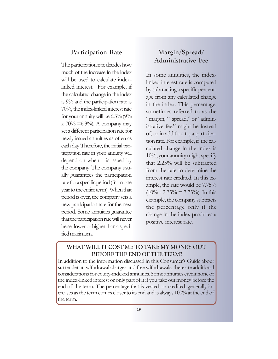#### **Participation Rate**

The participation rate decides how much of the increase in the index will be used to calculate indexlinked interest. For example, if the calculated change in the index is 9% and the participation rate is 70%, the index-linked interest rate for your annuity will be 6.3% (9%  $x\ 70\% = 6.3\%$ . A company may set a different participation rate for newly issued annuities as often as each day. Therefore, the initial participation rate in your annuity will depend on when it is issued by the company. The company usually guarantees the participation rate for a specific period (from one year to the entire term). When that period is over, the company sets a new participation rate for the next period. Some annuities guarantee that the participation rate will never be set lower or higher than a specified maximum.

#### **Margin/Spread/ Administrative Fee**

In some annuities, the indexlinked interest rate is computed by subtracting a specific percentage from any calculated change in the index. This percentage, sometimes referred to as the "margin," "spread," or "administrative fee," might be instead of, or in addition to, a participation rate. For example, if the calculated change in the index is 10%, your annuity might specify that 2.25% will be subtracted from the rate to determine the interest rate credited. In this example, the rate would be 7.75%  $(10\% - 2.25\% = 7.75\%)$ . In this example, the company subtracts the percentage only if the change in the index produces a positive interest rate.

#### **WHAT WILL IT COST ME TO TAKE MY MONEY OUT BEFORE THE END OF THE TERM?**

In addition to the information discussed in this Consumer's Guide about surrender an withdrawal charges and free withdrawals, there are additional considerations for equity-indexed annuities. Some annuities credit none of the index-linked interest or only part of it if you take out money before the end of the term. The percentage that is vested, or credited, generally increases as the term comes closer to its end and is always 100% at the end of the term.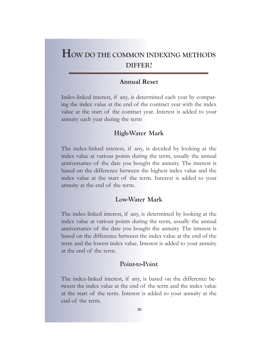#### **HOW DO THE COMMON INDEXING METHODS DIFFER?**

#### **Annual Reset**

Index-linked interest, if any, is determined each year by comparing the index value at the end of the contract year with the index value at the start of the contract year. Interest is added to your annuity each year during the term

#### **High-Water Mark**

The index-linked interest, if any, is decided by looking at the index value at various points during the term, usually the annual anniversaries of the date you bought the annuity. The interest is based on the difference between the highest index value and the index value at the start of the term. Interest is added to your annuity at the end of the term.

#### **Low-Water Mark**

The index-linked interest, if any, is determined by looking at the index value at various points during the term, usually the annual anniversaries of the date you bought the annuity. The interest is based on the difference between the index value at the end of the term and the lowest index value. Interest is added to your annuity at the end of the term.

#### **Point-to-Point**

The index-linked interest, if any, is based on the difference between the index value at the end of the term and the index value at the start of the term. Interest is added to your annuity at the end of the term.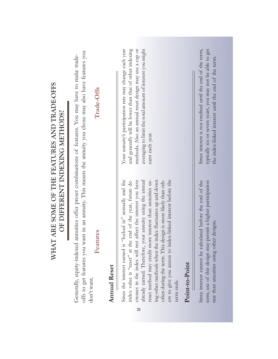| WHAT ARE SOME OF THE FEATURES AND TRADE-OFFS<br>OF DIFFERENT INDEXING METHODS? | Trade-Offs                                                                                                                                                                                                                                    |                     | averaging to limit the total amount of interest you might<br>and generally will be lower than that of other indexing<br>Your annuity's participation rate may change each year<br>methods. Also an annual reset design may use a cap or<br>earn each year.                                                                                                                                                                                                                                                                     |                | typically six or seven years, you may not be able to get<br>Since interest is not credited until the end of the term,<br>the index-linked interest until the end of the term. |
|--------------------------------------------------------------------------------|-----------------------------------------------------------------------------------------------------------------------------------------------------------------------------------------------------------------------------------------------|---------------------|--------------------------------------------------------------------------------------------------------------------------------------------------------------------------------------------------------------------------------------------------------------------------------------------------------------------------------------------------------------------------------------------------------------------------------------------------------------------------------------------------------------------------------|----------------|-------------------------------------------------------------------------------------------------------------------------------------------------------------------------------|
|                                                                                | offs to get features you want in an annuity. This means the annuity you chose may also have features you<br>Generally, equity-indexed annuities offer preset combinations of features. You may have to make trade-<br>Features<br>don't want. | <b>Annual Reset</b> | Since the interest earned is "locked in" annually and the<br>not affect the interest you have<br>already earned. Therefore, your annuity using the annual<br>often during the term. This design is more likely than oth-<br>index value is "reset" at the end of the year, future de-<br>reset method may credit more interest than annuities us-<br>index-linked interest before the<br>ing other methods when the index fluctuates up and down<br>creases in the index will<br>ers to give you access to<br>term ends.<br>21 | Point-to-Point | Since interest cannot be calculated before the end of the<br>term, use of this design may permit a higher participation<br>other designs.<br>rate than anuuities using        |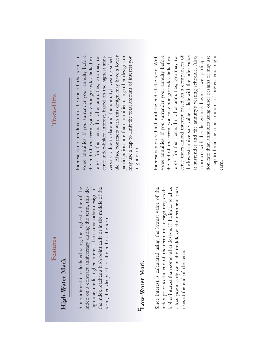## Features

## High-Water Mark **High-Water Mark**

Since interest is calculated using the highest value of the index on a contract anniversary during the term, this design may credit higher interest than some other designs if sign may credit higher interest than some other designs if the index reaches a high point early or in the middle of the Since interest is calculated using the highest value of the the index reaches a high point early or in the middle of the index on a contract anniversary during the term, this determ, then drops off at the end of the term. term, then drops off at the end of the term.

## **2**<sub>2</sub><sub>2</sub> Water Mark **Low-Water Mark**

Since interest is calculated using the lowest value of the index prior to the end of the term, this design may credit higher interest than some other designs if the index reaches a low point early or in the middle of the term and then Since interest is calculated using the lowest value of the index prior to the end of the term, this design may credit a low point early or in the middle of the term and then higher interest than some other designs if the index reaches rises at the end of the term. rises at the end of the term.

some annuities, if you surrender your annuity before terest for that term. In other annuities, you may re-Interest is not credited until the end of the term. In the end of the term, you may not get index-linked inceive index-linked interest, based on the highest anniversary value to date and the annuity's vesting schedule. Also, contracts with this design may have a lower participation rate than annuities using other designs or may use a cap to limit the total amount of interest you Interest is not credited until the end of the term. In some annuities, if you surrender your annuity before the end of the term, you may not get index-linked interest for that term. In other annuities, you may receive index-linked interest, based on the highest anniversary value to date and the annuity's vesting schedule. Also, contracts with this design may have a lower participation rate than annuities using other designs or may use a cap to limit the total amount of interest you might earn.

the lowest anniversary value to date with the index value Interest is not credited until the end of the term. With some annuities, if you surrender your annuity before the end of the term, you may not get index-linked interest for that term. In other annuities, you may receive index-linked interest based on a comparison of ceive index-linked interest based on a comparison of at surrender and the annuity's vesting schedule. Also, contracts with this design may have a lower participation rate than annuities using other designs or may use a cap to limit the total amount of interest you might Interest is not credited until the end of the term. With some annuities, if you surrender your annuity before the end of the term, you may not get index-linked interest for that term. In other annuities, you may rethe lowest anniversary value to date with the index value at surrender and the annuity's vesting schedule. Also, contracts with this design may have a lower participation rate than annuities using other designs or may use a cap to limit the total amount of interest you might earn.

# Trade-Offs **Features Trade-Offs**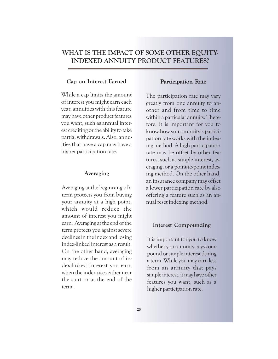#### **WHAT IS THE IMPACT OF SOME OTHER EQUITY-INDEXED ANNUITY PRODUCT FEATURES?**

#### **Cap on Interest Earned**

While a cap limits the amount of interest you might earn each year, annuities with this feature may have other product features you want, such as annual interest crediting or the ability to take partial withdrawals. Also, annuities that have a cap may have a higher participation rate.

#### **Averaging**

Averaging at the beginning of a term protects you from buying your annuity at a high point, which would reduce the amount of interest you might earn. Averaging at the end of the term protects you against severe declines in the index and losing index-linked interest as a result. On the other hand, averaging may reduce the amount of index-linked interest you earn when the index rises either near the start or at the end of the term.

#### **Participation Rate**

The participation rate may vary greatly from one annuity to another and from time to time within a particular annuity. Therefore, it is important for you to know how your annuity's participation rate works with the indexing method. A high participation rate may be offset by other features, such as simple interest, averaging, or a point-to-point indexing method. On the other hand, an insurance company may offset a lower participation rate by also offering a feature such as an annual reset indexing method.

#### **Interest Compounding**

It is important for you to know whether your annuity pays compound or simple interest during a term. While you may earn less from an annuity that pays simple interest, it may have other features you want, such as a higher participation rate.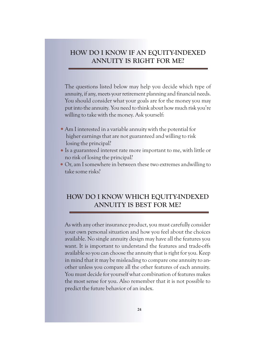#### **HOW DO I KNOW IF AN EQUITY-INDEXED ANNUITY IS RIGHT FOR ME?**

The questions listed below may help you decide which type of annuity, if any, meets your retirement planning and financial needs. You should consider what your goals are for the money you may put into the annuity. You need to think about how much risk you're willing to take with the money. Ask yourself:

- Am I interested in a variable annuity with the potential for z higher earnings that are not guaranteed and willing to risk losing the principal?
- Is a guaranteed interest rate more important to me, with little or no risk of losing the principal?
- Or, am I somewhere in between these two extremes andwilling to take some risks?

#### **HOW DO I KNOW WHICH EQUITY-INDEXED ANNUITY IS BEST FOR ME?**

As with any other insurance product, you must carefully consider your own personal situation and how you feel about the choices available. No single annuity design may have all the features you want. It is important to understand the features and trade-offs available so you can choose the annuity that is right for you. Keep in mind that it may be misleading to compare one annuity to another unless you compare all the other features of each annuity. You must decide for yourself what combination of features makes the most sense for you. Also remember that it is not possible to predict the future behavior of an index.